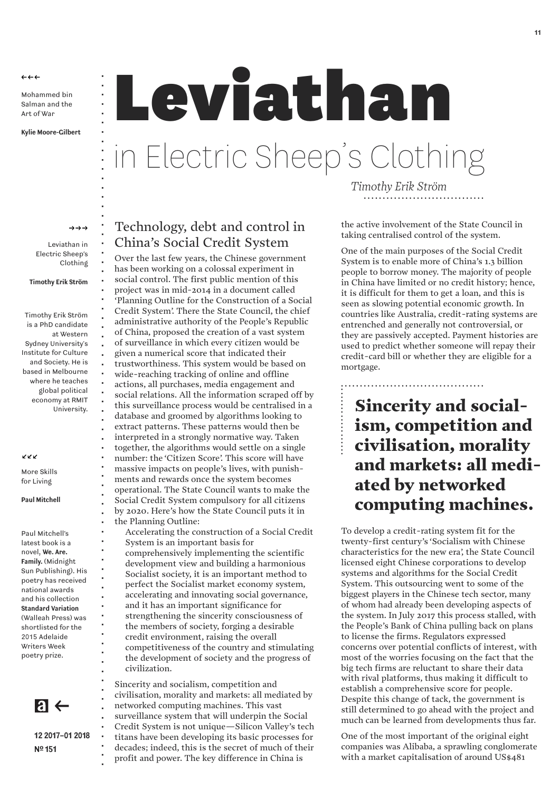$\leftrightarrow \leftrightarrow$ 

Mohammed bin Salman and the Art of War

**Kylie Moore-Gilbert**

### **Leviathan** in Electric Sheep's Clothing • • • • • • • • • • •

 $\rightarrow \rightarrow \rightarrow$ 

• • • • • • • • • • • • • • • • • • • • • • • • • • • • • • • • • • • • • • • • • • • • • • • • • • • • • • • • • • • • • • • •

Leviathan in Electric Sheep's Clothing

**Timothy Erik Ström**

Timothy Erik Ström is a PhD candidate at Western Sydney University's Institute for Culture and Society. He is based in Melbourne where he teaches global political economy at RMIT University.

KKK

More Skills for Living

**Paul Mitchell**

Paul Mitchell's latest book is a novel, **We. Are. Family.** (Midnight Sun Publishing). His poetry has received national awards and his collection **Standard Variation** (Walleah Press) was shortlisted for the 2015 Adelaide Writers Week poetry prize.

 $\mathbf{a} \leftarrow$ 

**12 2017–01 2018 Nº 151**

# Technology, debt and control in China's Social Credit System

Over the last few years, the Chinese government has been working on a colossal experiment in social control. The first public mention of this project was in mid-2014 in a document called 'Planning Outline for the Construction of a Social Credit System'. There the State Council, the chief administrative authority of the People's Republic of China, proposed the creation of a vast system of surveillance in which every citizen would be given a numerical score that indicated their trustworthiness. This system would be based on wide-reaching tracking of online and offline actions, all purchases, media engagement and social relations. All the information scraped off by this surveillance process would be centralised in a database and groomed by algorithms looking to extract patterns. These patterns would then be interpreted in a strongly normative way. Taken together, the algorithms would settle on a single number: the 'Citizen Score'. This score will have massive impacts on people's lives, with punish ments and rewards once the system becomes operational. The State Council wants to make the Social Credit System compulsory for all citizens by 2020. Here's how the State Council puts it in the Planning Outline: Accelerating the construction of a Social Credit

System is an important basis for comprehensively implementing the scientific development view and building a harmonious Socialist society, it is an important method to perfect the Socialist market economy system, accelerating and innovating social governance, and it has an important significance for strengthening the sincerity consciousness of the members of society, forging a desirable credit environment, raising the overall competitiveness of the country and stimulating the development of society and the progress of civilization.

Sincerity and socialism, competition and civilisation, morality and markets: all mediated by networked computing machines. This vast surveillance system that will underpin the Social Credit System is not unique—Silicon Valley's tech titans have been developing its basic processes for decades; indeed, this is the secret of much of their profit and power. The key difference in China is

*Timothy Erik Ström ................................*

the active involvement of the State Council in taking centralised control of the system.

One of the main purposes of the Social Credit System is to enable more of China's 1.3 billion people to borrow money. The majority of people in China have limited or no credit history; hence, it is difficult for them to get a loan, and this is seen as slowing potential economic growth. In countries like Australia, credit-rating systems are entrenched and generally not controversial, or they are passively accepted. Payment histories are used to predict whether someone will repay their credit-card bill or whether they are eligible for a mortgage.

**Sincerity and social ism, competition and civilisation, morality and markets: all medi ated by networked computing machines.** *.................. ......................................*

To develop a credit-rating system fit for the twenty-first century's 'Socialism with Chinese characteristics for the new era', the State Council licensed eight Chinese corporations to develop systems and algorithms for the Social Credit System. This outsourcing went to some of the biggest players in the Chinese tech sector, many of whom had already been developing aspects of the system. In July 2017 this process stalled, with the People's Bank of China pulling back on plans to license the firms. Regulators expressed concerns over potential conflicts of interest, with most of the worries focusing on the fact that the big tech firms are reluctant to share their data with rival platforms, thus making it difficult to establish a comprehensive score for people. Despite this change of tack, the government is still determined to go ahead with the project and much can be learned from developments thus far.

One of the most important of the original eight companies was Alibaba, a sprawling conglomerate with a market capitalisation of around US\$481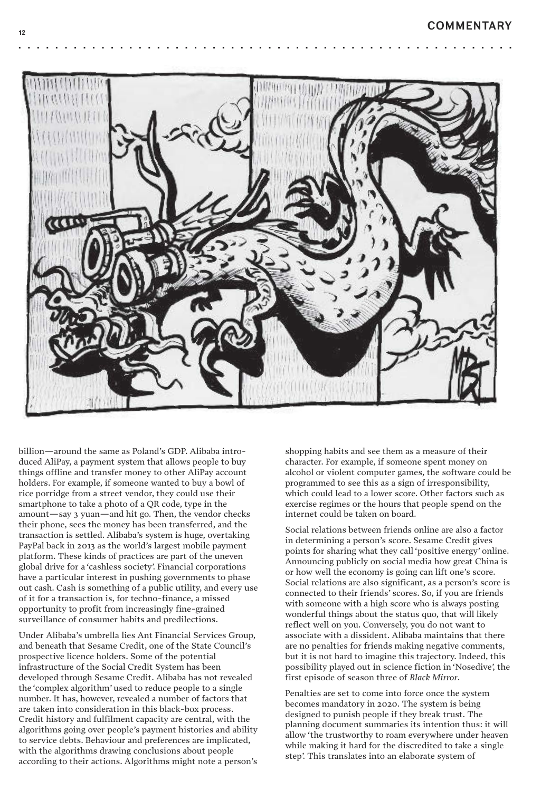•



•

•

•

billion—around the same as Poland's GDP. Alibaba introduced AliPay, a payment system that allows people to buy things offline and transfer money to other AliPay account holders. For example, if someone wanted to buy a bowl of rice porridge from a street vendor, they could use their smartphone to take a photo of a QR code, type in the amount—say 3 yuan—and hit go. Then, the vendor checks their phone, sees the money has been transferred, and the transaction is settled. Alibaba's system is huge, overtaking PayPal back in 2013 as the world's largest mobile payment platform. These kinds of practices are part of the uneven global drive for a 'cashless society'. Financial corporations have a particular interest in pushing governments to phase out cash. Cash is something of a public utility, and every use of it for a transaction is, for techno-finance, a missed opportunity to profit from increasingly fine-grained surveillance of consumer habits and predilections.

Under Alibaba's umbrella lies Ant Financial Services Group, and beneath that Sesame Credit, one of the State Council's prospective licence holders. Some of the potential infrastructure of the Social Credit System has been developed through Sesame Credit. Alibaba has not revealed the 'complex algorithm' used to reduce people to a single number. It has, however, revealed a number of factors that are taken into consideration in this black-box process. Credit history and fulfilment capacity are central, with the algorithms going over people's payment histories and ability to service debts. Behaviour and preferences are implicated, with the algorithms drawing conclusions about people according to their actions. Algorithms might note a person's

shopping habits and see them as a measure of their character. For example, if someone spent money on alcohol or violent computer games, the software could be programmed to see this as a sign of irresponsibility, which could lead to a lower score. Other factors such as exercise regimes or the hours that people spend on the internet could be taken on board.

Social relations between friends online are also a factor in determining a person's score. Sesame Credit gives points for sharing what they call 'positive energy' online. Announcing publicly on social media how great China is or how well the economy is going can lift one's score. Social relations are also significant, as a person's score is connected to their friends' scores. So, if you are friends with someone with a high score who is always posting wonderful things about the status quo, that will likely reflect well on you. Conversely, you do not want to associate with a dissident. Alibaba maintains that there are no penalties for friends making negative comments, but it is not hard to imagine this trajectory. Indeed, this possibility played out in science fiction in 'Nosedive', the first episode of season three of *Black Mirror*.

Penalties are set to come into force once the system becomes mandatory in 2020. The system is being designed to punish people if they break trust. The planning document summaries its intention thus: it will allow 'the trustworthy to roam everywhere under heaven while making it hard for the discredited to take a single step'. This translates into an elaborate system of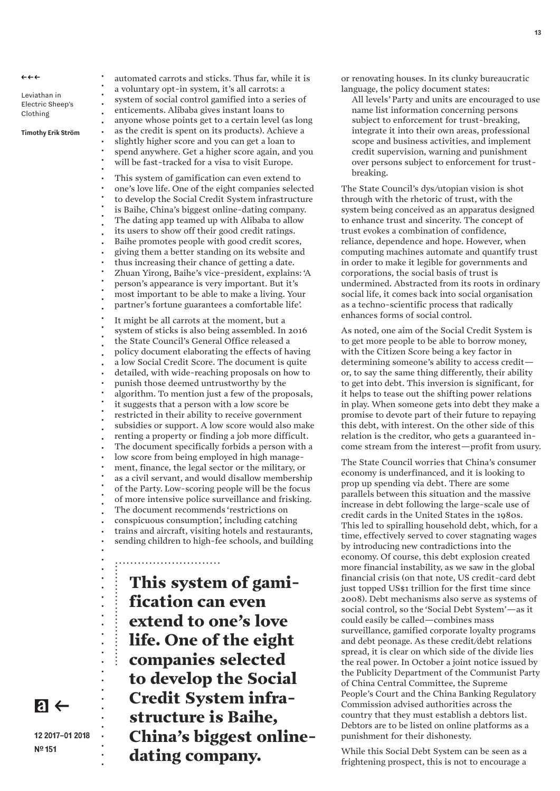$\leftrightarrow \leftrightarrow$ 

Leviathan in Electric Sheep's Clothing

•

• • • • • • • • • • • • • • • • • • • • • •

**12 2017–01 2018**

**Nº 151**

 $a \leftarrow$ 

**Timothy Erik Ström**

automated carrots and sticks. Thus far, while it is a voluntary opt-in system, it's all carrots: a system of social control gamified into a series of enticements. Alibaba gives instant loans to anyone whose points get to a certain level (as long as the credit is spent on its products). Achieve a slightly higher score and you can get a loan to spend anywhere. Get a higher score again, and you will be fast-tracked for a visa to visit Europe. This system of gamification can even extend to one's love life. One of the eight companies selected to develop the Social Credit System infrastructure is Baihe, China's biggest online-dating company. The dating app teamed up with Alibaba to allow its users to show off their good credit ratings. Baihe promotes people with good credit scores, giving them a better standing on its website and thus increasing their chance of getting a date. Zhuan Yirong, Baihe's vice-president, explains: 'A person's appearance is very important. But it's most important to be able to make a living. Your partner's fortune guarantees a comfortable life'. It might be all carrots at the moment, but a system of sticks is also being assembled. In 2016 the State Council's General Office released a policy document elaborating the effects of having a low Social Credit Score. The document is quite detailed, with wide-reaching proposals on how to punish those deemed untrustworthy by the algorithm. To mention just a few of the proposals, it suggests that a person with a low score be restricted in their ability to receive government subsidies or support. A low score would also make renting a property or finding a job more difficult. The document specifically forbids a person with a low score from being employed in high manage ment, finance, the legal sector or the military, or as a civil servant, and would disallow membership of the Party. Low-scoring people will be the focus of more intensive police surveillance and frisking. The document recommends 'restrictions on conspicuous consumption', including catching trains and aircraft, visiting hotels and restaurants, sending children to high-fee schools, and building • • • • • • • • • • • • • • • • • • • • • • • • • • • • • • • • • • • • • • • • • • • • • • • • • • • •

**This system of gami fication can even extend to one's love life. One of the eight companies selected to develop the Social Credit System infra structure is Baihe, China's biggest onlinedating company.** *........................... ............................*

or renovating houses. In its clunky bureaucratic language, the policy document states:

All levels' Party and units are encouraged to use name list information concerning persons subject to enforcement for trust-breaking, integrate it into their own areas, professional scope and business activities, and implement credit supervision, warning and punishment over persons subject to enforcement for trustbreaking.

The State Council's dys/utopian vision is shot through with the rhetoric of trust, with the system being conceived as an apparatus designed to enhance trust and sincerity. The concept of trust evokes a combination of confidence, reliance, dependence and hope. However, when computing machines automate and quantify trust in order to make it legible for governments and corporations, the social basis of trust is undermined. Abstracted from its roots in ordinary social life, it comes back into social organisation as a techno-scientific process that radically enhances forms of social control.

As noted, one aim of the Social Credit System is to get more people to be able to borrow money, with the Citizen Score being a key factor in determining someone's ability to access credit or, to say the same thing differently, their ability to get into debt. This inversion is significant, for it helps to tease out the shifting power relations in play. When someone gets into debt they make a promise to devote part of their future to repaying this debt, with interest. On the other side of this relation is the creditor, who gets a guaranteed in come stream from the interest—profit from usury.

The State Council worries that China's consumer economy is underfinanced, and it is looking to prop up spending via debt. There are some parallels between this situation and the massive increase in debt following the large-scale use of credit cards in the United States in the 1980s. This led to spiralling household debt, which, for a time, effectively served to cover stagnating wages by introducing new contradictions into the economy. Of course, this debt explosion created more financial instability, as we saw in the global financial crisis (on that note, US credit-card debt just topped US\$1 trillion for the first time since 2008). Debt mechanisms also serve as systems of social control, so the 'Social Debt System'—as it could easily be called—combines mass surveillance, gamified corporate loyalty programs and debt peonage. As these credit/debt relations spread, it is clear on which side of the divide lies the real power. In October a joint notice issued by the Publicity Department of the Communist Party of China Central Committee, the Supreme People's Court and the China Banking Regulatory Commission advised authorities across the country that they must establish a debtors list. Debtors are to be listed on online platforms as a punishment for their dishonesty.

While this Social Debt System can be seen as a frightening prospect, this is not to encourage a

**13**